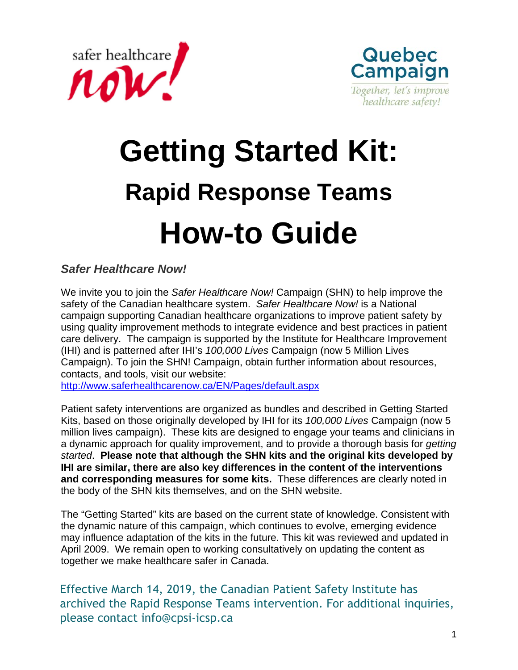



# **Getting Started Kit: Rapid Response Teams How-to Guide**

*Safer Healthcare Now!* 

We invite you to join the *Safer Healthcare Now!* Campaign (SHN) to help improve the safety of the Canadian healthcare system. *Safer Healthcare Now!* is a National campaign supporting Canadian healthcare organizations to improve patient safety by using quality improvement methods to integrate evidence and best practices in patient care delivery. The campaign is supported by the Institute for Healthcare Improvement (IHI) and is patterned after IHI's *100,000 Lives* Campaign (now 5 Million Lives Campaign). To join the SHN! Campaign, obtain further information about resources, contacts, and tools, visit our website:

<http://www.saferhealthcarenow.ca/EN/Pages/default.aspx>

Patient safety interventions are organized as bundles and described in Getting Started Kits, based on those originally developed by IHI for its *100,000 Lives* Campaign (now 5 million lives campaign). These kits are designed to engage your teams and clinicians in a dynamic approach for quality improvement, and to provide a thorough basis for *getting started*. **Please note that although the SHN kits and the original kits developed by IHI are similar, there are also key differences in the content of the interventions and corresponding measures for some kits.** These differences are clearly noted in the body of the SHN kits themselves, and on the SHN website.

The "Getting Started" kits are based on the current state of knowledge. Consistent with the dynamic nature of this campaign, which continues to evolve, emerging evidence may influence adaptation of the kits in the future. This kit was reviewed and updated in April 2009. We remain open to working consultatively on updating the content as together we make healthcare safer in Canada.

Effective March 14, 2019, the Canadian Patient Safety Institute has archived the Rapid Response Teams intervention. For additional inquiries, please contact [info@cpsi-icsp.ca](mailto: info@cpsi-icsp.ca)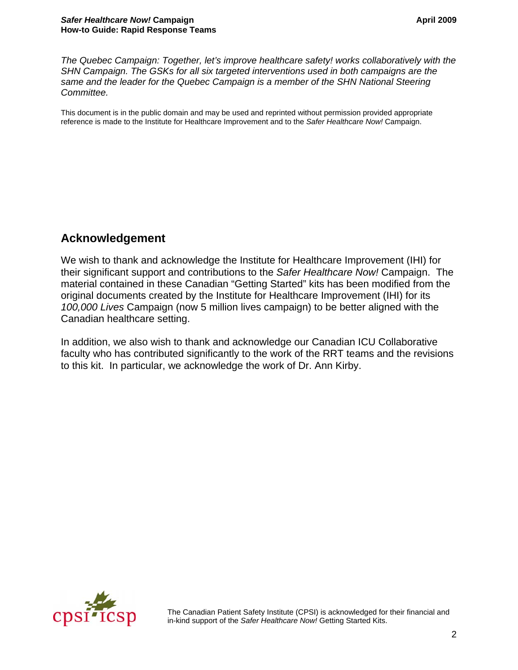<span id="page-1-0"></span>*The Quebec Campaign: Together, let's improve healthcare safety! works collaboratively with the SHN Campaign. The GSKs for all six targeted interventions used in both campaigns are the same and the leader for the Quebec Campaign is a member of the SHN National Steering Committee.*

This document is in the public domain and may be used and reprinted without permission provided appropriate reference is made to the Institute for Healthcare Improvement and to the *Safer Healthcare Now!* Campaign.

# **Acknowledgement**

We wish to thank and acknowledge the Institute for Healthcare Improvement (IHI) for their significant support and contributions to the *Safer Healthcare Now!* Campaign. The material contained in these Canadian "Getting Started" kits has been modified from the original documents created by the Institute for Healthcare Improvement (IHI) for its *100,000 Lives* Campaign (now 5 million lives campaign) to be better aligned with the Canadian healthcare setting.

In addition, we also wish to thank and acknowledge our Canadian ICU Collaborative faculty who has contributed significantly to the work of the RRT teams and the revisions to this kit. In particular, we acknowledge the work of Dr. Ann Kirby.



The Canadian Patient Safety Institute (CPSI) is acknowledged for their financial and in-kind support of the *Safer Healthcare Now!* Getting Started Kits.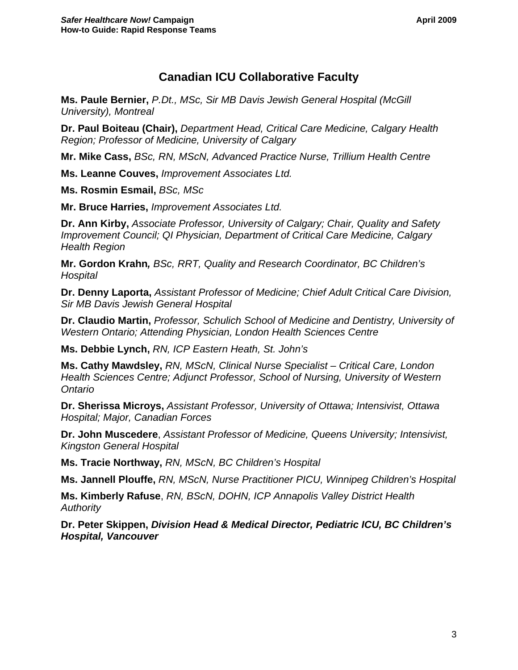# **Canadian ICU Collaborative Faculty**

**Ms. Paule Bernier,** *P.Dt., MSc, Sir MB Davis Jewish General Hospital (McGill University), Montreal*

**Dr. Paul Boiteau (Chair),** *Department Head, Critical Care Medicine, Calgary Health Region; Professor of Medicine, University of Calgary*

**Mr. Mike Cass,** *BSc, RN, MScN, Advanced Practice Nurse, Trillium Health Centre* 

**Ms. Leanne Couves,** *Improvement Associates Ltd.* 

**Ms. Rosmin Esmail,** *BSc, MSc*

**Mr. Bruce Harries,** *Improvement Associates Ltd.*

**Dr. Ann Kirby,** *Associate Professor, University of Calgary; Chair, Quality and Safety Improvement Council; QI Physician, Department of Critical Care Medicine, Calgary Health Region*

**Mr. Gordon Krahn***, BSc, RRT, Quality and Research Coordinator, BC Children's Hospital* 

**Dr. Denny Laporta,** *Assistant Professor of Medicine; Chief Adult Critical Care Division, Sir MB Davis Jewish General Hospital* 

**Dr. Claudio Martin,** *Professor, Schulich School of Medicine and Dentistry, University of Western Ontario; Attending Physician, London Health Sciences Centre* 

**Ms. Debbie Lynch,** *RN, ICP Eastern Heath, St. John's*

**Ms. Cathy Mawdsley,** *RN, MScN, Clinical Nurse Specialist – Critical Care, London Health Sciences Centre; Adjunct Professor, School of Nursing, University of Western Ontario*

**Dr. Sherissa Microys,** *Assistant Professor, University of Ottawa; Intensivist, Ottawa Hospital; Major, Canadian Forces* 

**Dr. John Muscedere**, *Assistant Professor of Medicine, Queens University; Intensivist, Kingston General Hospital*

**Ms. Tracie Northway,** *RN, MScN, BC Children's Hospital*

**Ms. Jannell Plouffe,** *RN, MScN, Nurse Practitioner PICU, Winnipeg Children's Hospital* 

**Ms. Kimberly Rafuse**, *RN, BScN, DOHN, ICP Annapolis Valley District Health Authority* 

**Dr. Peter Skippen,** *Division Head & Medical Director, Pediatric ICU, BC Children's Hospital, Vancouver*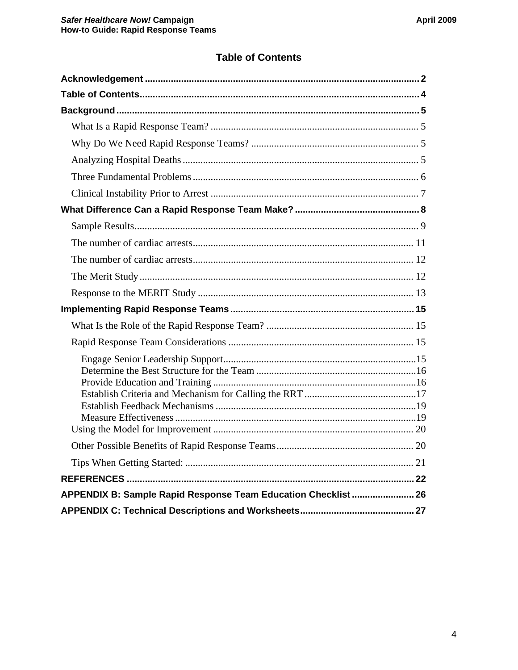# **Table of Contents**

<span id="page-3-0"></span>

| APPENDIX B: Sample Rapid Response Team Education Checklist  26 |  |
|----------------------------------------------------------------|--|
|                                                                |  |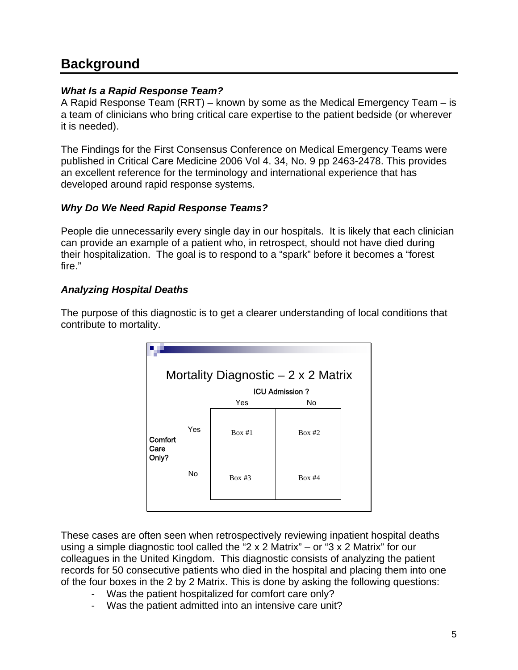# <span id="page-4-0"></span>**Background**

# *What Is a Rapid Response Team?*

A Rapid Response Team (RRT) – known by some as the Medical Emergency Team – is a team of clinicians who bring critical care expertise to the patient bedside (or wherever it is needed).

The Findings for the First Consensus Conference on Medical Emergency Teams were published in Critical Care Medicine 2006 Vol 4. 34, No. 9 pp 2463-2478. This provides an excellent reference for the terminology and international experience that has developed around rapid response systems.

# *Why Do We Need Rapid Response Teams?*

People die unnecessarily every single day in our hospitals. It is likely that each clinician can provide an example of a patient who, in retrospect, should not have died during their hospitalization. The goal is to respond to a "spark" before it becomes a "forest fire."

# *Analyzing Hospital Deaths*

The purpose of this diagnostic is to get a clearer understanding of local conditions that contribute to mortality.

| Mortality Diagnostic $-2 \times 2$ Matrix |     |        |        |  |  |  |  |  |
|-------------------------------------------|-----|--------|--------|--|--|--|--|--|
| <b>ICU Admission?</b>                     |     |        |        |  |  |  |  |  |
|                                           |     | Yes    | No     |  |  |  |  |  |
| <b>Comfort</b><br>Care<br>Only?           | Yes | Box #1 | Box #2 |  |  |  |  |  |
|                                           | No  | Box #3 | Box #4 |  |  |  |  |  |
|                                           |     |        |        |  |  |  |  |  |

These cases are often seen when retrospectively reviewing inpatient hospital deaths using a simple diagnostic tool called the "2 x 2 Matrix" – or "3 x 2 Matrix" for our colleagues in the United Kingdom. This diagnostic consists of analyzing the patient records for 50 consecutive patients who died in the hospital and placing them into one of the four boxes in the 2 by 2 Matrix. This is done by asking the following questions:

- Was the patient hospitalized for comfort care only?
- Was the patient admitted into an intensive care unit?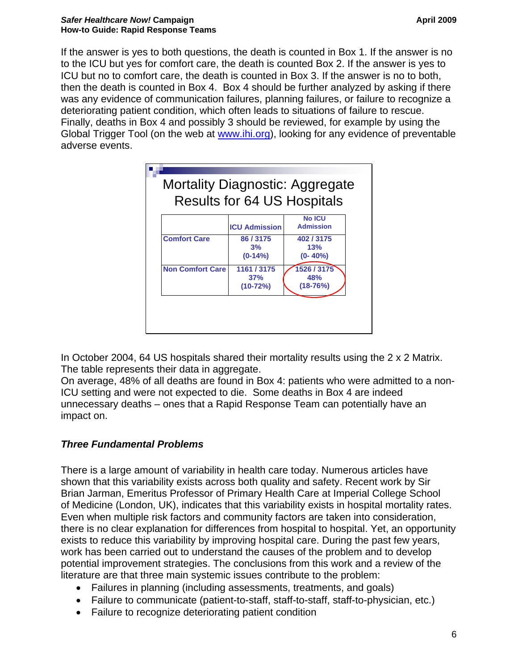<span id="page-5-0"></span>If the answer is yes to both questions, the death is counted in Box 1. If the answer is no to the ICU but yes for comfort care, the death is counted Box 2. If the answer is yes to ICU but no to comfort care, the death is counted in Box 3. If the answer is no to both, then the death is counted in Box 4. Box 4 should be further analyzed by asking if there was any evidence of communication failures, planning failures, or failure to recognize a deteriorating patient condition, which often leads to situations of failure to rescue. Finally, deaths in Box 4 and possibly 3 should be reviewed, for example by using the Global Trigger Tool (on the web at [www.ihi.org](http://www.ihi.org/)), looking for any evidence of preventable adverse events.

|                         | <b>ICU Admission</b>             | <b>No ICU</b><br><b>Admission</b>  |
|-------------------------|----------------------------------|------------------------------------|
| <b>Comfort Care</b>     | 86 / 3175<br>3%<br>$(0-14%)$     | 402 / 3175<br>13%<br>$(0 - 40\%)$  |
| <b>Non Comfort Care</b> | 1161 / 3175<br>37%<br>$(10-72%)$ | 1526 / 3175<br>48%<br>$(18 - 76%)$ |

In October 2004, 64 US hospitals shared their mortality results using the 2 x 2 Matrix. The table represents their data in aggregate.

On average, 48% of all deaths are found in Box 4: patients who were admitted to a non-ICU setting and were not expected to die. Some deaths in Box 4 are indeed unnecessary deaths – ones that a Rapid Response Team can potentially have an impact on.

# *Three Fundamental Problems*

There is a large amount of variability in health care today. Numerous articles have shown that this variability exists across both quality and safety. Recent work by Sir Brian Jarman, Emeritus Professor of Primary Health Care at Imperial College School of Medicine (London, UK), indicates that this variability exists in hospital mortality rates. Even when multiple risk factors and community factors are taken into consideration, there is no clear explanation for differences from hospital to hospital. Yet, an opportunity exists to reduce this variability by improving hospital care. During the past few years, work has been carried out to understand the causes of the problem and to develop potential improvement strategies. The conclusions from this work and a review of the literature are that three main systemic issues contribute to the problem:

- Failures in planning (including assessments, treatments, and goals)
- Failure to communicate (patient-to-staff, staff-to-staff, staff-to-physician, etc.)
- Failure to recognize deteriorating patient condition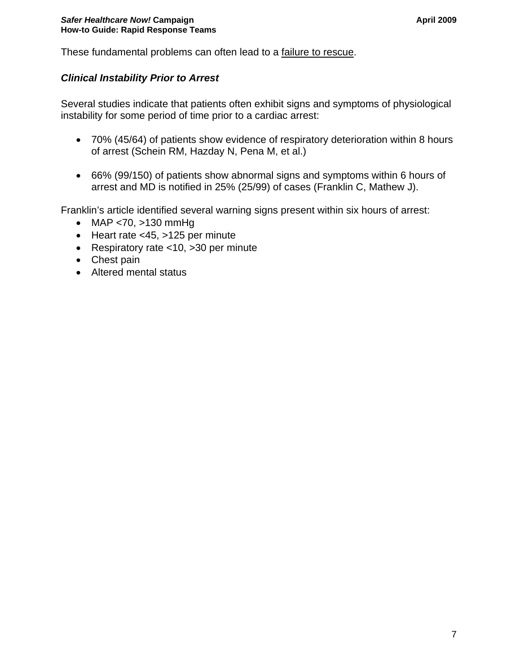<span id="page-6-0"></span>These fundamental problems can often lead to a failure to rescue.

# *Clinical Instability Prior to Arrest*

Several studies indicate that patients often exhibit signs and symptoms of physiological instability for some period of time prior to a cardiac arrest:

- 70% (45/64) of patients show evidence of respiratory deterioration within 8 hours of arrest (Schein RM, Hazday N, Pena M, et al.)
- 66% (99/150) of patients show abnormal signs and symptoms within 6 hours of arrest and MD is notified in 25% (25/99) of cases (Franklin C, Mathew J).

Franklin's article identified several warning signs present within six hours of arrest:

- MAP <70, >130 mmHg
- Heart rate <45, >125 per minute
- Respiratory rate <10, >30 per minute
- Chest pain
- Altered mental status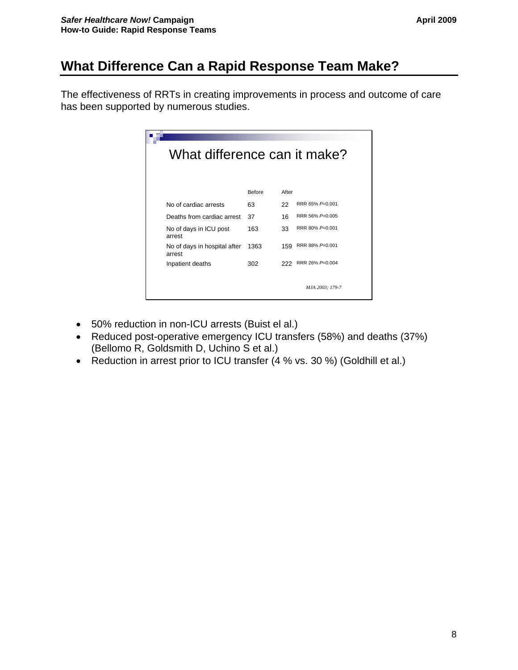# <span id="page-7-0"></span>**What Difference Can a Rapid Response Team Make?**

The effectiveness of RRTs in creating improvements in process and outcome of care has been supported by numerous studies.

| What difference can it make?           |        |       |                 |  |  |  |  |  |  |
|----------------------------------------|--------|-------|-----------------|--|--|--|--|--|--|
|                                        | Before | After |                 |  |  |  |  |  |  |
| No of cardiac arrests                  | 63     | 22    | RRR 65% P=0.001 |  |  |  |  |  |  |
| Deaths from cardiac arrest             | 37     | 16    | RRR 56% P=0.005 |  |  |  |  |  |  |
| No of days in ICU post<br>arrest       | 163    | 33    | RRR 80% P=0.001 |  |  |  |  |  |  |
| No of days in hospital after<br>arrest | 1363   | 159   | RRR 88% P=0.001 |  |  |  |  |  |  |
| Inpatient deaths                       | 302    | 222   | RRR 26% P=0.004 |  |  |  |  |  |  |
|                                        |        |       | MJA 2003: 179-7 |  |  |  |  |  |  |

- 50% reduction in non-ICU arrests (Buist el al.)
- Reduced post-operative emergency ICU transfers (58%) and deaths (37%) (Bellomo R, Goldsmith D, Uchino S et al.)
- Reduction in arrest prior to ICU transfer (4 % vs. 30 %) (Goldhill et al.)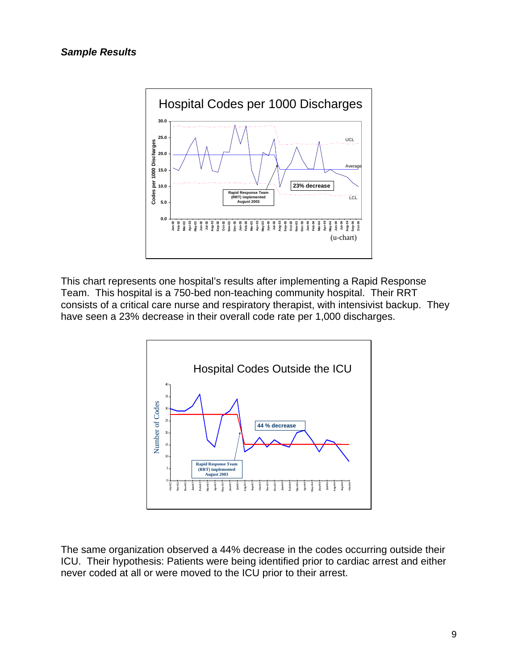<span id="page-8-0"></span>

This chart represents one hospital's results after implementing a Rapid Response Team. This hospital is a 750-bed non-teaching community hospital. Their RRT consists of a critical care nurse and respiratory therapist, with intensivist backup. They have seen a 23% decrease in their overall code rate per 1,000 discharges.



The same organization observed a 44% decrease in the codes occurring outside their ICU. Their hypothesis: Patients were being identified prior to cardiac arrest and either never coded at all or were moved to the ICU prior to their arrest.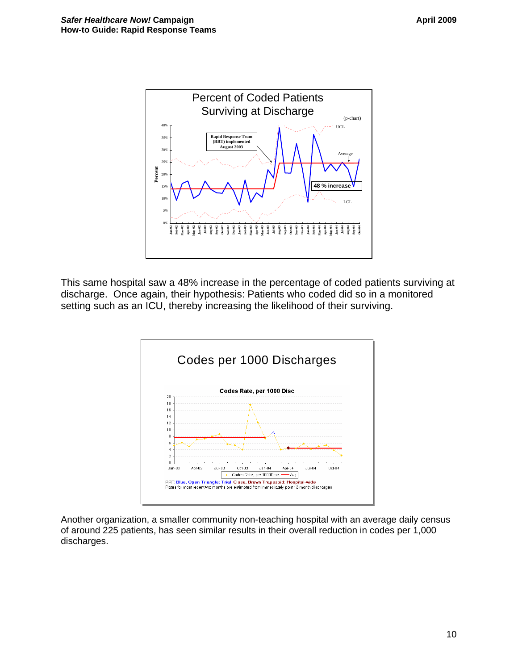

This same hospital saw a 48% increase in the percentage of coded patients surviving at discharge. Once again, their hypothesis: Patients who coded did so in a monitored setting such as an ICU, thereby increasing the likelihood of their surviving.



Another organization, a smaller community non-teaching hospital with an average daily census of around 225 patients, has seen similar results in their overall reduction in codes per 1,000 discharges.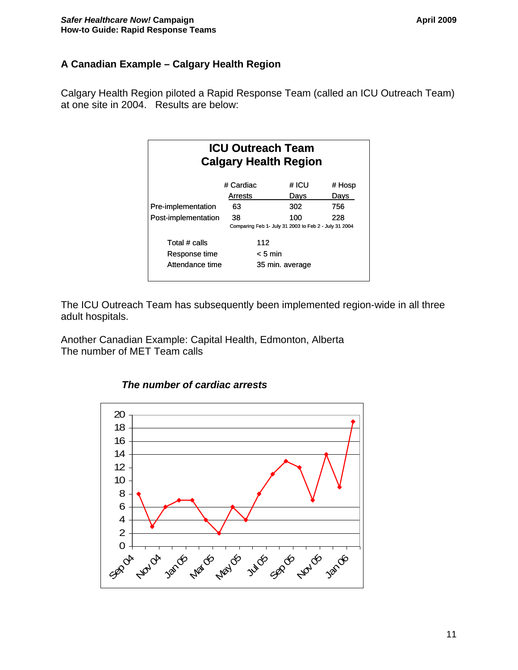# <span id="page-10-0"></span>**A Canadian Example – Calgary Health Region**

Calgary Health Region piloted a Rapid Response Team (called an ICU Outreach Team) at one site in 2004. Results are below:

| <b>ICU Outreach Team</b><br><b>Calgary Health Region</b> |                 |     |       |                                                       |  |  |  |  |
|----------------------------------------------------------|-----------------|-----|-------|-------------------------------------------------------|--|--|--|--|
|                                                          | # Cardiac       |     | # ICU | # Hosp                                                |  |  |  |  |
|                                                          | Arrests         |     | Davs  | Davs                                                  |  |  |  |  |
| Pre-implementation                                       | 63              |     | 302   | 756                                                   |  |  |  |  |
| Post-implementation                                      | 38              |     | 100   | 228                                                   |  |  |  |  |
|                                                          |                 |     |       | Comparing Feb 1- July 31 2003 to Feb 2 - July 31 2004 |  |  |  |  |
| Total # calls                                            |                 | 112 |       |                                                       |  |  |  |  |
| Response time                                            | < 5 min         |     |       |                                                       |  |  |  |  |
| Attendance time                                          | 35 min. average |     |       |                                                       |  |  |  |  |
|                                                          |                 |     |       |                                                       |  |  |  |  |

The ICU Outreach Team has subsequently been implemented region-wide in all three adult hospitals.

Another Canadian Example: Capital Health, Edmonton, Alberta The number of MET Team calls



#### *The number of cardiac arrests*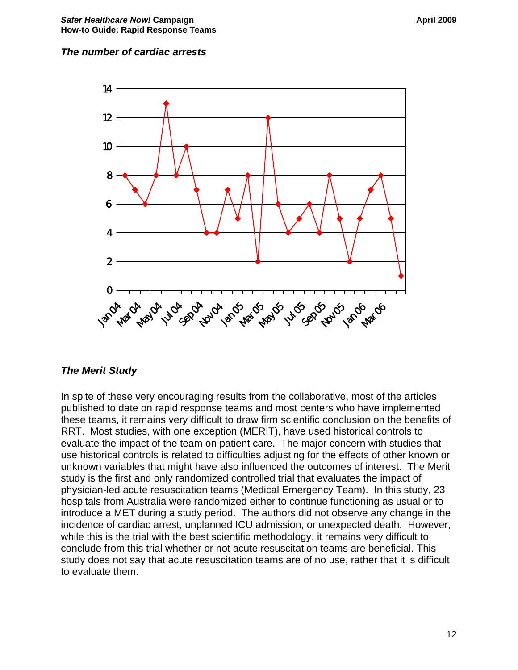#### <span id="page-11-0"></span>*The number of cardiac arrests*



#### *The Merit Study*

In spite of these very encouraging results from the collaborative, most of the articles published to date on rapid response teams and most centers who have implemented these teams, it remains very difficult to draw firm scientific conclusion on the benefits of RRT. Most studies, with one exception (MERIT), have used historical controls to evaluate the impact of the team on patient care. The major concern with studies that use historical controls is related to difficulties adjusting for the effects of other known or unknown variables that might have also influenced the outcomes of interest. The Merit study is the first and only randomized controlled trial that evaluates the impact of physician-led acute resuscitation teams (Medical Emergency Team). In this study, 23 hospitals from Australia were randomized either to continue functioning as usual or to introduce a MET during a study period. The authors did not observe any change in the incidence of cardiac arrest, unplanned ICU admission, or unexpected death. However, while this is the trial with the best scientific methodology, it remains very difficult to conclude from this trial whether or not acute resuscitation teams are beneficial. This study does not say that acute resuscitation teams are of no use, rather that it is difficult to evaluate them.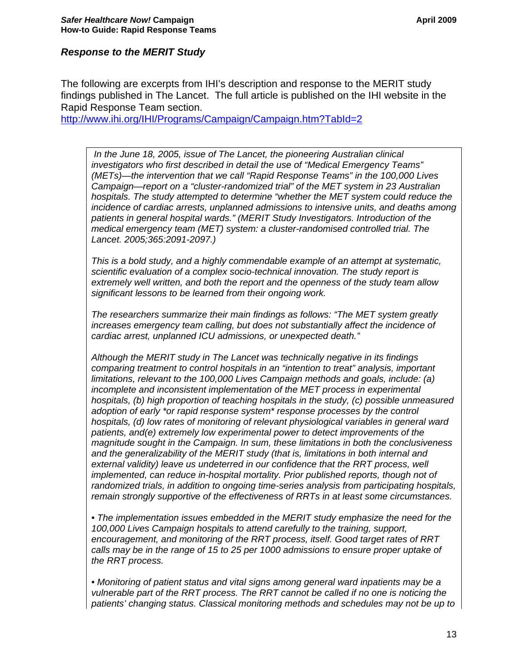## <span id="page-12-0"></span>*Response to the MERIT Study*

The following are excerpts from IHI's description and response to the MERIT study findings published in The Lancet. The full article is published on the IHI website in the Rapid Response Team section.

<http://www.ihi.org/IHI/Programs/Campaign/Campaign.htm?TabId=2>

 *In the June 18, 2005, issue of The Lancet, the pioneering Australian clinical investigators who first described in detail the use of "Medical Emergency Teams" (METs)—the intervention that we call "Rapid Response Teams" in the 100,000 Lives Campaign—report on a "cluster-randomized trial" of the MET system in 23 Australian hospitals. The study attempted to determine "whether the MET system could reduce the incidence of cardiac arrests, unplanned admissions to intensive units, and deaths among patients in general hospital wards." (MERIT Study Investigators. Introduction of the medical emergency team (MET) system: a cluster-randomised controlled trial. The Lancet. 2005;365:2091-2097.)* 

*This is a bold study, and a highly commendable example of an attempt at systematic, scientific evaluation of a complex socio-technical innovation. The study report is extremely well written, and both the report and the openness of the study team allow significant lessons to be learned from their ongoing work.* 

*The researchers summarize their main findings as follows: "The MET system greatly increases emergency team calling, but does not substantially affect the incidence of cardiac arrest, unplanned ICU admissions, or unexpected death."* 

*Although the MERIT study in The Lancet was technically negative in its findings comparing treatment to control hospitals in an "intention to treat" analysis, important limitations, relevant to the 100,000 Lives Campaign methods and goals, include: (a) incomplete and inconsistent implementation of the MET process in experimental hospitals, (b) high proportion of teaching hospitals in the study, (c) possible unmeasured adoption of early \*or rapid response system\* response processes by the control hospitals, (d) low rates of monitoring of relevant physiological variables in general ward patients, and(e) extremely low experimental power to detect improvements of the magnitude sought in the Campaign. In sum, these limitations in both the conclusiveness and the generalizability of the MERIT study (that is, limitations in both internal and external validity) leave us undeterred in our confidence that the RRT process, well implemented, can reduce in-hospital mortality. Prior published reports, though not of randomized trials, in addition to ongoing time-series analysis from participating hospitals, remain strongly supportive of the effectiveness of RRTs in at least some circumstances.* 

*• The implementation issues embedded in the MERIT study emphasize the need for the 100,000 Lives Campaign hospitals to attend carefully to the training, support, encouragement, and monitoring of the RRT process, itself. Good target rates of RRT calls may be in the range of 15 to 25 per 1000 admissions to ensure proper uptake of the RRT process.* 

*• Monitoring of patient status and vital signs among general ward inpatients may be a vulnerable part of the RRT process. The RRT cannot be called if no one is noticing the patients' changing status. Classical monitoring methods and schedules may not be up to*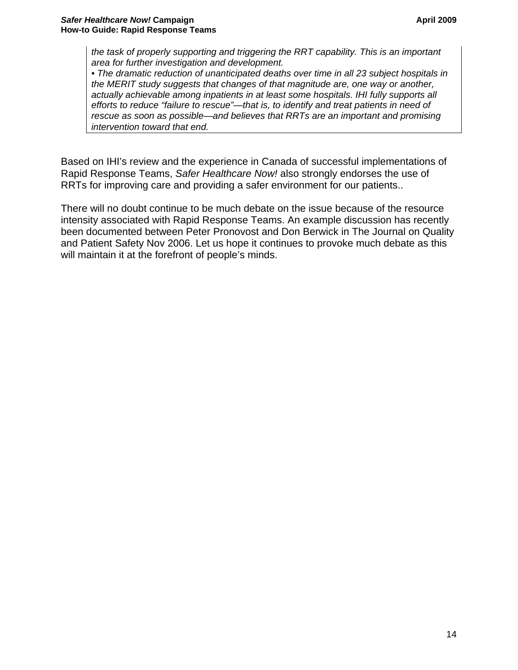*the task of properly supporting and triggering the RRT capability. This is an important area for further investigation and development.* 

*• The dramatic reduction of unanticipated deaths over time in all 23 subject hospitals in the MERIT study suggests that changes of that magnitude are, one way or another, actually achievable among inpatients in at least some hospitals. IHI fully supports all efforts to reduce "failure to rescue"—that is, to identify and treat patients in need of rescue as soon as possible—and believes that RRTs are an important and promising intervention toward that end.* 

Based on IHI's review and the experience in Canada of successful implementations of Rapid Response Teams, *Safer Healthcare Now!* also strongly endorses the use of RRTs for improving care and providing a safer environment for our patients..

There will no doubt continue to be much debate on the issue because of the resource intensity associated with Rapid Response Teams. An example discussion has recently been documented between Peter Pronovost and Don Berwick in The Journal on Quality and Patient Safety Nov 2006. Let us hope it continues to provoke much debate as this will maintain it at the forefront of people's minds.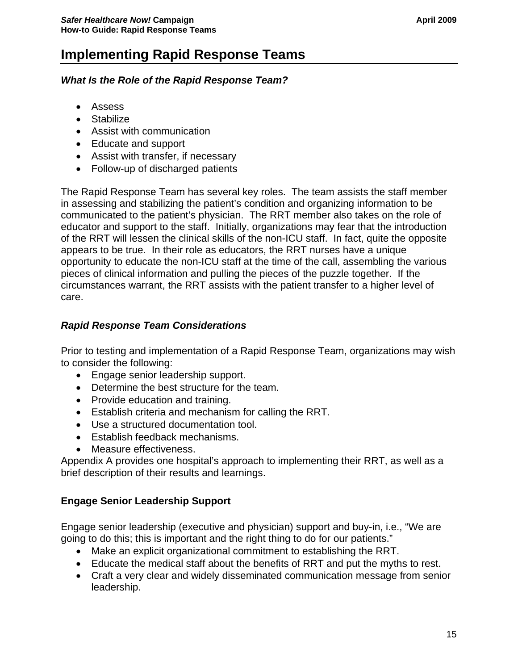# <span id="page-14-0"></span>**Implementing Rapid Response Teams**

# *What Is the Role of the Rapid Response Team?*

- Assess
- Stabilize
- Assist with communication
- Educate and support
- Assist with transfer, if necessary
- Follow-up of discharged patients

The Rapid Response Team has several key roles. The team assists the staff member in assessing and stabilizing the patient's condition and organizing information to be communicated to the patient's physician. The RRT member also takes on the role of educator and support to the staff. Initially, organizations may fear that the introduction of the RRT will lessen the clinical skills of the non-ICU staff. In fact, quite the opposite appears to be true. In their role as educators, the RRT nurses have a unique opportunity to educate the non-ICU staff at the time of the call, assembling the various pieces of clinical information and pulling the pieces of the puzzle together. If the circumstances warrant, the RRT assists with the patient transfer to a higher level of care.

# *Rapid Response Team Considerations*

Prior to testing and implementation of a Rapid Response Team, organizations may wish to consider the following:

- Engage senior leadership support.
- Determine the best structure for the team.
- Provide education and training.
- Establish criteria and mechanism for calling the RRT.
- Use a structured documentation tool.
- Establish feedback mechanisms.
- Measure effectiveness.

Appendix A provides one hospital's approach to implementing their RRT, as well as a brief description of their results and learnings.

# **Engage Senior Leadership Support**

Engage senior leadership (executive and physician) support and buy-in, i.e., "We are going to do this; this is important and the right thing to do for our patients."

- Make an explicit organizational commitment to establishing the RRT.
- Educate the medical staff about the benefits of RRT and put the myths to rest.
- Craft a very clear and widely disseminated communication message from senior leadership.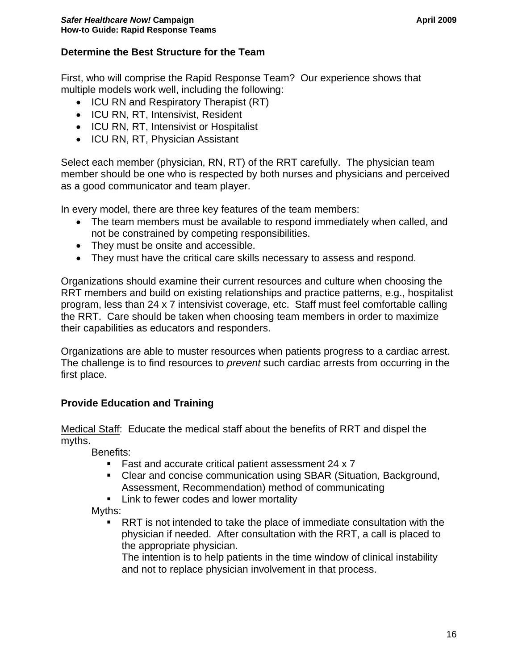# <span id="page-15-0"></span>**Determine the Best Structure for the Team**

First, who will comprise the Rapid Response Team? Our experience shows that multiple models work well, including the following:

- ICU RN and Respiratory Therapist (RT)
- ICU RN, RT, Intensivist, Resident
- ICU RN, RT, Intensivist or Hospitalist
- ICU RN, RT, Physician Assistant

Select each member (physician, RN, RT) of the RRT carefully. The physician team member should be one who is respected by both nurses and physicians and perceived as a good communicator and team player.

In every model, there are three key features of the team members:

- The team members must be available to respond immediately when called, and not be constrained by competing responsibilities.
- They must be onsite and accessible.
- They must have the critical care skills necessary to assess and respond.

Organizations should examine their current resources and culture when choosing the RRT members and build on existing relationships and practice patterns, e.g., hospitalist program, less than 24 x 7 intensivist coverage, etc. Staff must feel comfortable calling the RRT. Care should be taken when choosing team members in order to maximize their capabilities as educators and responders.

Organizations are able to muster resources when patients progress to a cardiac arrest. The challenge is to find resources to *prevent* such cardiac arrests from occurring in the first place.

## **Provide Education and Training**

Medical Staff: Educate the medical staff about the benefits of RRT and dispel the myths.

Benefits:

- Fast and accurate critical patient assessment 24 x 7
- Clear and concise communication using SBAR (Situation, Background, Assessment, Recommendation) method of communicating
- **EXEC** Link to fewer codes and lower mortality

Myths:

 RRT is not intended to take the place of immediate consultation with the physician if needed. After consultation with the RRT, a call is placed to the appropriate physician.

The intention is to help patients in the time window of clinical instability and not to replace physician involvement in that process.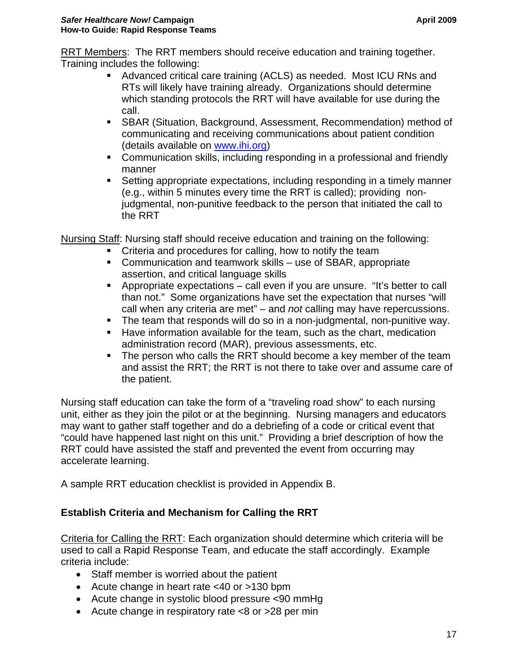<span id="page-16-0"></span>RRT Members: The RRT members should receive education and training together. Training includes the following:

- Advanced critical care training (ACLS) as needed. Most ICU RNs and RTs will likely have training already. Organizations should determine which standing protocols the RRT will have available for use during the call.
- SBAR (Situation, Background, Assessment, Recommendation) method of communicating and receiving communications about patient condition (details available on [www.ihi.org](http://www.ihi.org/))
- Communication skills, including responding in a professional and friendly manner
- Setting appropriate expectations, including responding in a timely manner (e.g., within 5 minutes every time the RRT is called); providing nonjudgmental, non-punitive feedback to the person that initiated the call to the RRT

Nursing Staff: Nursing staff should receive education and training on the following:

- **•** Criteria and procedures for calling, how to notify the team
- Communication and teamwork skills use of SBAR, appropriate assertion, and critical language skills
- Appropriate expectations call even if you are unsure. "It's better to call than not." Some organizations have set the expectation that nurses "will call when any criteria are met" – and *not* calling may have repercussions.
- The team that responds will do so in a non-judgmental, non-punitive way.
- Have information available for the team, such as the chart, medication administration record (MAR), previous assessments, etc.
- **The person who calls the RRT should become a key member of the team** and assist the RRT; the RRT is not there to take over and assume care of the patient.

Nursing staff education can take the form of a "traveling road show" to each nursing unit, either as they join the pilot or at the beginning. Nursing managers and educators may want to gather staff together and do a debriefing of a code or critical event that "could have happened last night on this unit." Providing a brief description of how the RRT could have assisted the staff and prevented the event from occurring may accelerate learning.

A sample RRT education checklist is provided in Appendix B.

# **Establish Criteria and Mechanism for Calling the RRT**

Criteria for Calling the RRT: Each organization should determine which criteria will be used to call a Rapid Response Team, and educate the staff accordingly. Example criteria include:

- Staff member is worried about the patient
- Acute change in heart rate <40 or >130 bpm
- Acute change in systolic blood pressure <90 mmHg
- Acute change in respiratory rate <8 or >28 per min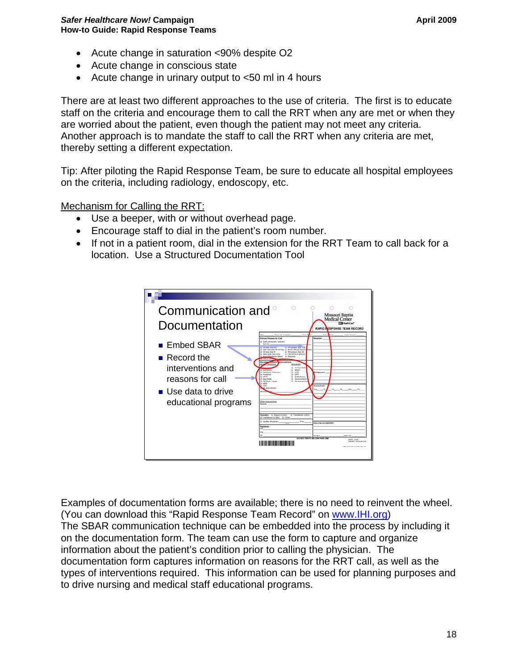- Acute change in saturation <90% despite O2
- Acute change in conscious state
- Acute change in urinary output to <50 ml in 4 hours

There are at least two different approaches to the use of criteria. The first is to educate staff on the criteria and encourage them to call the RRT when any are met or when they are worried about the patient, even though the patient may not meet any criteria. Another approach is to mandate the staff to call the RRT when any criteria are met, thereby setting a different expectation.

Tip: After piloting the Rapid Response Team, be sure to educate all hospital employees on the criteria, including radiology, endoscopy, etc.

Mechanism for Calling the RRT:

- Use a beeper, with or without overhead page.
- Encourage staff to dial in the patient's room number.
- If not in a patient room, dial in the extension for the RRT Team to call back for a location. Use a Structured Documentation Tool



Examples of documentation forms are available; there is no need to reinvent the wheel. (You can download this "Rapid Response Team Record" on [www.IHI.org](http://www.ihi.org/)) The SBAR communication technique can be embedded into the process by including it on the documentation form. The team can use the form to capture and organize information about the patient's condition prior to calling the physician. The documentation form captures information on reasons for the RRT call, as well as the types of interventions required. This information can be used for planning purposes and to drive nursing and medical staff educational programs.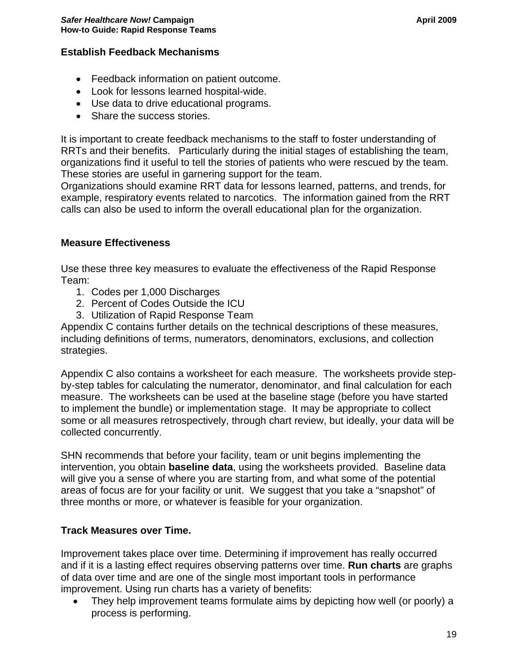# <span id="page-18-0"></span>**Establish Feedback Mechanisms**

- Feedback information on patient outcome.
- Look for lessons learned hospital-wide.
- Use data to drive educational programs.
- Share the success stories.

It is important to create feedback mechanisms to the staff to foster understanding of RRTs and their benefits. Particularly during the initial stages of establishing the team, organizations find it useful to tell the stories of patients who were rescued by the team. These stories are useful in garnering support for the team.

Organizations should examine RRT data for lessons learned, patterns, and trends, for example, respiratory events related to narcotics. The information gained from the RRT calls can also be used to inform the overall educational plan for the organization.

#### **Measure Effectiveness**

Use these three key measures to evaluate the effectiveness of the Rapid Response Team:

- 1. Codes per 1,000 Discharges
- 2. Percent of Codes Outside the ICU
- 3. Utilization of Rapid Response Team

Appendix C contains further details on the technical descriptions of these measures, including definitions of terms, numerators, denominators, exclusions, and collection strategies.

Appendix C also contains a worksheet for each measure. The worksheets provide stepby-step tables for calculating the numerator, denominator, and final calculation for each measure. The worksheets can be used at the baseline stage (before you have started to implement the bundle) or implementation stage. It may be appropriate to collect some or all measures retrospectively, through chart review, but ideally, your data will be collected concurrently.

SHN recommends that before your facility, team or unit begins implementing the intervention, you obtain **baseline data**, using the worksheets provided. Baseline data will give you a sense of where you are starting from, and what some of the potential areas of focus are for your facility or unit. We suggest that you take a "snapshot" of three months or more, or whatever is feasible for your organization.

## **Track Measures over Time.**

Improvement takes place over time. Determining if improvement has really occurred and if it is a lasting effect requires observing patterns over time. **Run charts** are graphs of data over time and are one of the single most important tools in performance improvement. Using run charts has a variety of benefits:

• They help improvement teams formulate aims by depicting how well (or poorly) a process is performing.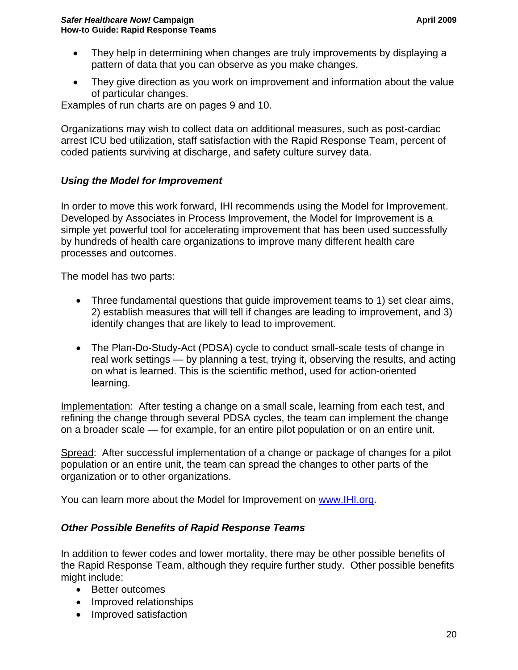- <span id="page-19-0"></span>• They help in determining when changes are truly improvements by displaying a pattern of data that you can observe as you make changes.
- They give direction as you work on improvement and information about the value of particular changes.

Examples of run charts are on pages 9 and 10.

Organizations may wish to collect data on additional measures, such as post-cardiac arrest ICU bed utilization, staff satisfaction with the Rapid Response Team, percent of coded patients surviving at discharge, and safety culture survey data.

## *Using the Model for Improvement*

In order to move this work forward, IHI recommends using the Model for Improvement. Developed by Associates in Process Improvement, the Model for Improvement is a simple yet powerful tool for accelerating improvement that has been used successfully by hundreds of health care organizations to improve many different health care processes and outcomes.

The model has two parts:

- Three fundamental questions that guide improvement teams to 1) set clear aims, 2) establish measures that will tell if changes are leading to improvement, and 3) identify changes that are likely to lead to improvement.
- The Plan-Do-Study-Act (PDSA) cycle to conduct small-scale tests of change in real work settings — by planning a test, trying it, observing the results, and acting on what is learned. This is the scientific method, used for action-oriented learning.

Implementation: After testing a change on a small scale, learning from each test, and refining the change through several PDSA cycles, the team can implement the change on a broader scale — for example, for an entire pilot population or on an entire unit.

Spread: After successful implementation of a change or package of changes for a pilot population or an entire unit, the team can spread the changes to other parts of the organization or to other organizations.

You can learn more about the Model for Improvement on [www.IHI.org](http://www.ihi.org/).

## *Other Possible Benefits of Rapid Response Teams*

In addition to fewer codes and lower mortality, there may be other possible benefits of the Rapid Response Team, although they require further study. Other possible benefits might include:

- Better outcomes
- Improved relationships
- Improved satisfaction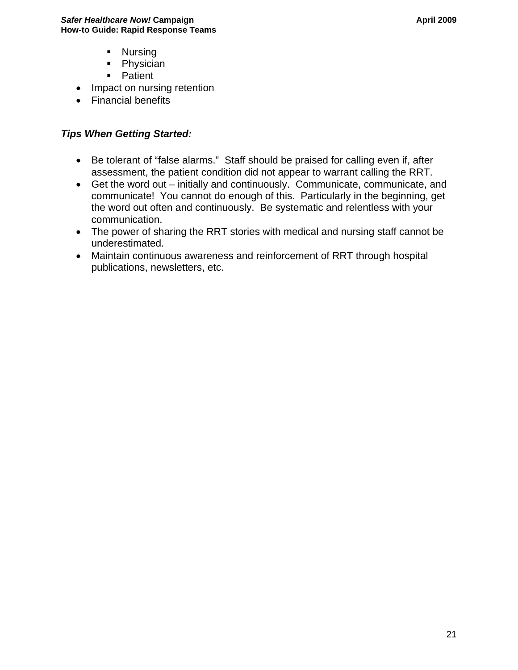- **Nursing**
- Physician
- **Patient**
- <span id="page-20-0"></span>• Impact on nursing retention
- Financial benefits

# *Tips When Getting Started:*

- Be tolerant of "false alarms." Staff should be praised for calling even if, after assessment, the patient condition did not appear to warrant calling the RRT.
- Get the word out initially and continuously. Communicate, communicate, and communicate! You cannot do enough of this. Particularly in the beginning, get the word out often and continuously. Be systematic and relentless with your communication.
- The power of sharing the RRT stories with medical and nursing staff cannot be underestimated.
- Maintain continuous awareness and reinforcement of RRT through hospital publications, newsletters, etc.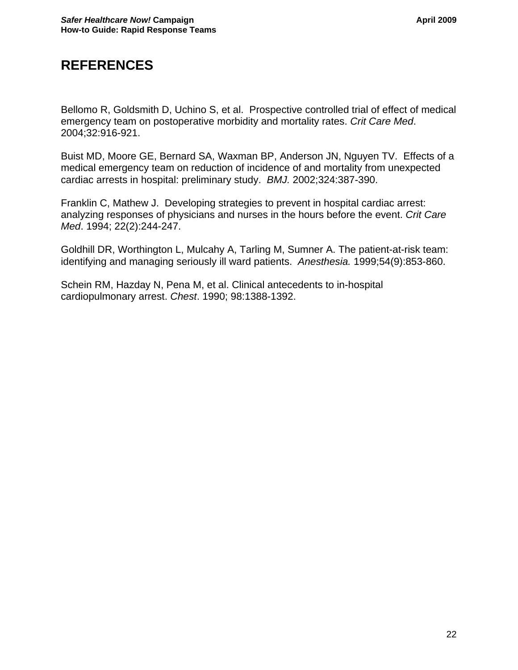# <span id="page-21-0"></span>**REFERENCES**

Bellomo R, Goldsmith D, Uchino S, et al. Prospective controlled trial of effect of medical emergency team on postoperative morbidity and mortality rates. *Crit Care Med*. 2004;32:916-921.

Buist MD, Moore GE, Bernard SA, Waxman BP, Anderson JN, Nguyen TV. Effects of a medical emergency team on reduction of incidence of and mortality from unexpected cardiac arrests in hospital: preliminary study. *BMJ.* 2002;324:387-390.

Franklin C, Mathew J. Developing strategies to prevent in hospital cardiac arrest: analyzing responses of physicians and nurses in the hours before the event. *Crit Care Med*. 1994; 22(2):244-247.

Goldhill DR, Worthington L, Mulcahy A, Tarling M, Sumner A. The patient-at-risk team: identifying and managing seriously ill ward patients. *Anesthesia.* 1999;54(9):853-860.

Schein RM, Hazday N, Pena M, et al. Clinical antecedents to in-hospital cardiopulmonary arrest. *Chest*. 1990; 98:1388-1392.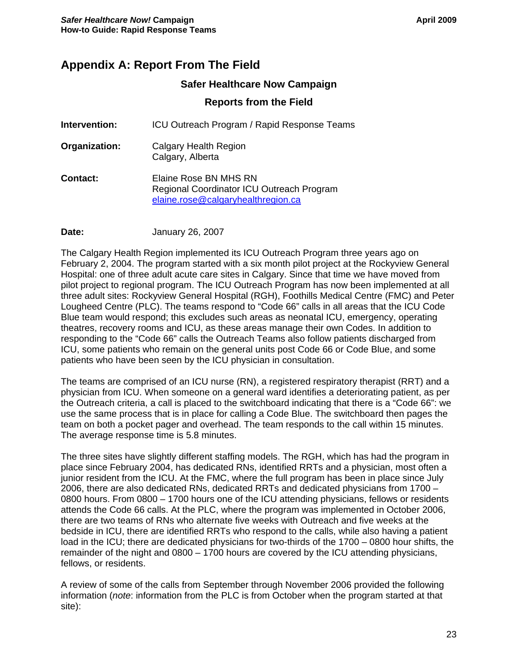# **Appendix A: Report From The Field**

#### **Safer Healthcare Now Campaign**

#### **Reports from the Field**

- **Intervention:** ICU Outreach Program / Rapid Response Teams
- **Organization:** Calgary Health Region Calgary, Alberta
- **Contact:** Elaine Rose BN MHS RN Regional Coordinator ICU Outreach Program [elaine.rose@calgaryhealthregion.ca](mailto:elaine.rose@calgaryhealthregion.ca)
- **Date:** January 26, 2007

The Calgary Health Region implemented its ICU Outreach Program three years ago on February 2, 2004. The program started with a six month pilot project at the Rockyview General Hospital: one of three adult acute care sites in Calgary. Since that time we have moved from pilot project to regional program. The ICU Outreach Program has now been implemented at all three adult sites: Rockyview General Hospital (RGH), Foothills Medical Centre (FMC) and Peter Lougheed Centre (PLC). The teams respond to "Code 66" calls in all areas that the ICU Code Blue team would respond; this excludes such areas as neonatal ICU, emergency, operating theatres, recovery rooms and ICU, as these areas manage their own Codes. In addition to responding to the "Code 66" calls the Outreach Teams also follow patients discharged from ICU, some patients who remain on the general units post Code 66 or Code Blue, and some patients who have been seen by the ICU physician in consultation.

The teams are comprised of an ICU nurse (RN), a registered respiratory therapist (RRT) and a physician from ICU. When someone on a general ward identifies a deteriorating patient, as per the Outreach criteria, a call is placed to the switchboard indicating that there is a "Code 66": we use the same process that is in place for calling a Code Blue. The switchboard then pages the team on both a pocket pager and overhead. The team responds to the call within 15 minutes. The average response time is 5.8 minutes.

The three sites have slightly different staffing models. The RGH, which has had the program in place since February 2004, has dedicated RNs, identified RRTs and a physician, most often a junior resident from the ICU. At the FMC, where the full program has been in place since July 2006, there are also dedicated RNs, dedicated RRTs and dedicated physicians from 1700 – 0800 hours. From 0800 – 1700 hours one of the ICU attending physicians, fellows or residents attends the Code 66 calls. At the PLC, where the program was implemented in October 2006, there are two teams of RNs who alternate five weeks with Outreach and five weeks at the bedside in ICU, there are identified RRTs who respond to the calls, while also having a patient load in the ICU; there are dedicated physicians for two-thirds of the 1700 – 0800 hour shifts, the remainder of the night and 0800 – 1700 hours are covered by the ICU attending physicians, fellows, or residents.

A review of some of the calls from September through November 2006 provided the following information (*note*: information from the PLC is from October when the program started at that site):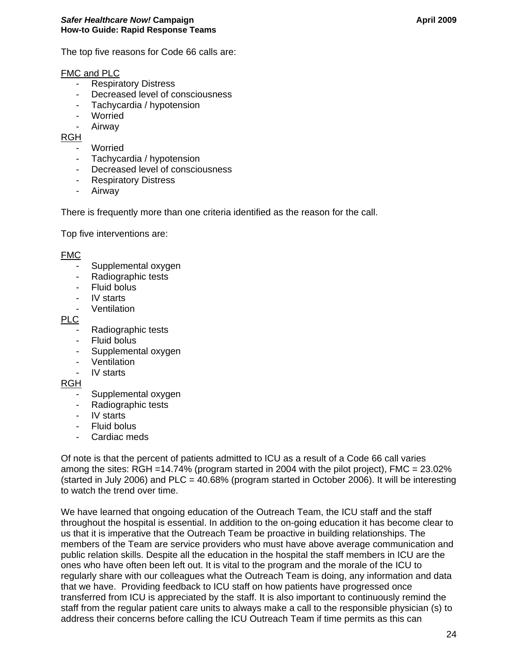The top five reasons for Code 66 calls are:

#### FMC and PLC

- Respiratory Distress
- Decreased level of consciousness
- Tachycardia / hypotension
- Worried
- Airway

RGH

- Worried
- Tachycardia / hypotension
- Decreased level of consciousness
- Respiratory Distress
- Airway

There is frequently more than one criteria identified as the reason for the call.

Top five interventions are:

#### FM<sub>C</sub>

- Supplemental oxygen
- Radiographic tests
- Fluid bolus
- IV starts
- **Ventilation**

PLC

- Radiographic tests
- Fluid bolus
- Supplemental oxygen
- Ventilation
- IV starts

#### RGH

- Supplemental oxygen
- Radiographic tests
- IV starts
- Fluid bolus
- Cardiac meds

Of note is that the percent of patients admitted to ICU as a result of a Code 66 call varies among the sites: RGH =14.74% (program started in 2004 with the pilot project), FMC = 23.02% (started in July 2006) and  $PLC = 40.68\%$  (program started in October 2006). It will be interesting to watch the trend over time.

We have learned that ongoing education of the Outreach Team, the ICU staff and the staff throughout the hospital is essential. In addition to the on-going education it has become clear to us that it is imperative that the Outreach Team be proactive in building relationships. The members of the Team are service providers who must have above average communication and public relation skills. Despite all the education in the hospital the staff members in ICU are the ones who have often been left out. It is vital to the program and the morale of the ICU to regularly share with our colleagues what the Outreach Team is doing, any information and data that we have. Providing feedback to ICU staff on how patients have progressed once transferred from ICU is appreciated by the staff. It is also important to continuously remind the staff from the regular patient care units to always make a call to the responsible physician (s) to address their concerns before calling the ICU Outreach Team if time permits as this can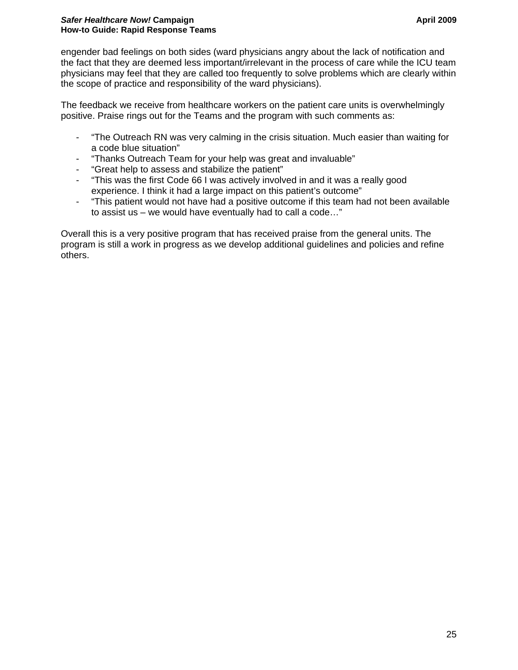#### **Safer Healthcare Now! Campaign April 2009 Campaign April 2009 April 2009 How-to Guide: Rapid Response Teams**

engender bad feelings on both sides (ward physicians angry about the lack of notification and the fact that they are deemed less important/irrelevant in the process of care while the ICU team physicians may feel that they are called too frequently to solve problems which are clearly within the scope of practice and responsibility of the ward physicians).

The feedback we receive from healthcare workers on the patient care units is overwhelmingly positive. Praise rings out for the Teams and the program with such comments as:

- "The Outreach RN was very calming in the crisis situation. Much easier than waiting for a code blue situation"
- "Thanks Outreach Team for your help was great and invaluable"
- "Great help to assess and stabilize the patient"
- "This was the first Code 66 I was actively involved in and it was a really good experience. I think it had a large impact on this patient's outcome"
- "This patient would not have had a positive outcome if this team had not been available to assist us – we would have eventually had to call a code…"

Overall this is a very positive program that has received praise from the general units. The program is still a work in progress as we develop additional guidelines and policies and refine others.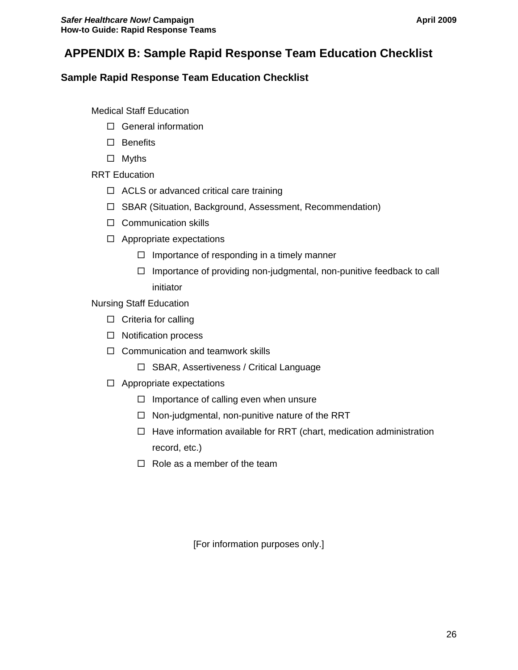# <span id="page-25-0"></span> **APPENDIX B: Sample Rapid Response Team Education Checklist**

## **Sample Rapid Response Team Education Checklist**

Medical Staff Education

- $\Box$  General information
- $\square$  Benefits
- Myths

RRT Education

- $\Box$  ACLS or advanced critical care training
- □ SBAR (Situation, Background, Assessment, Recommendation)
- $\square$  Communication skills
- $\Box$  Appropriate expectations
	- $\Box$  Importance of responding in a timely manner
	- $\Box$  Importance of providing non-judgmental, non-punitive feedback to call initiator

Nursing Staff Education

- $\Box$  Criteria for calling
- $\square$  Notification process
- $\Box$  Communication and teamwork skills
	- □ SBAR, Assertiveness / Critical Language
- $\Box$  Appropriate expectations
	- $\Box$  Importance of calling even when unsure
	- $\Box$  Non-judgmental, non-punitive nature of the RRT
	- $\Box$  Have information available for RRT (chart, medication administration record, etc.)
	- $\Box$  Role as a member of the team

[For information purposes only.]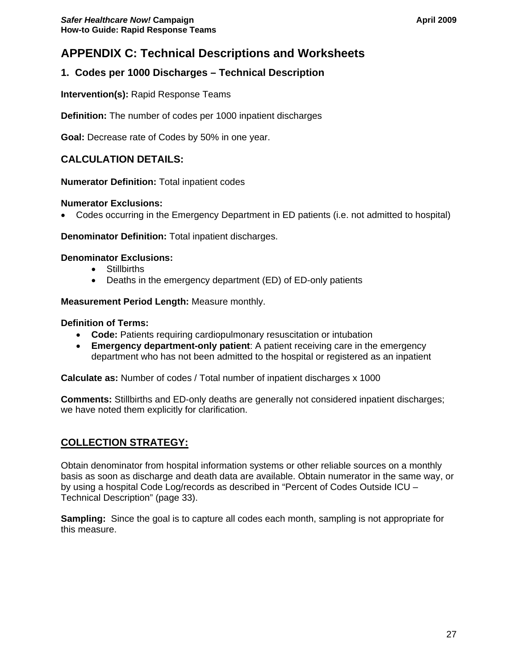# <span id="page-26-0"></span>**APPENDIX C: Technical Descriptions and Worksheets**

# **1. Codes per 1000 Discharges – Technical Description**

**Intervention(s):** Rapid Response Teams

**Definition:** The number of codes per 1000 inpatient discharges

**Goal:** Decrease rate of Codes by 50% in one year.

## **CALCULATION DETAILS:**

**Numerator Definition:** Total inpatient codes

#### **Numerator Exclusions:**

• Codes occurring in the Emergency Department in ED patients (i.e. not admitted to hospital)

**Denominator Definition:** Total inpatient discharges.

#### **Denominator Exclusions:**

- Stillbirths
- Deaths in the emergency department (ED) of ED-only patients

#### **Measurement Period Length:** Measure monthly.

#### **Definition of Terms:**

- **Code:** Patients requiring cardiopulmonary resuscitation or intubation
- **Emergency department-only patient**: A patient receiving care in the emergency department who has not been admitted to the hospital or registered as an inpatient

**Calculate as:** Number of codes / Total number of inpatient discharges x 1000

**Comments:** Stillbirths and ED-only deaths are generally not considered inpatient discharges; we have noted them explicitly for clarification.

## **COLLECTION STRATEGY:**

Obtain denominator from hospital information systems or other reliable sources on a monthly basis as soon as discharge and death data are available. Obtain numerator in the same way, or by using a hospital Code Log/records as described in "Percent of Codes Outside ICU – Technical Description" (page 33).

**Sampling:** Since the goal is to capture all codes each month, sampling is not appropriate for this measure.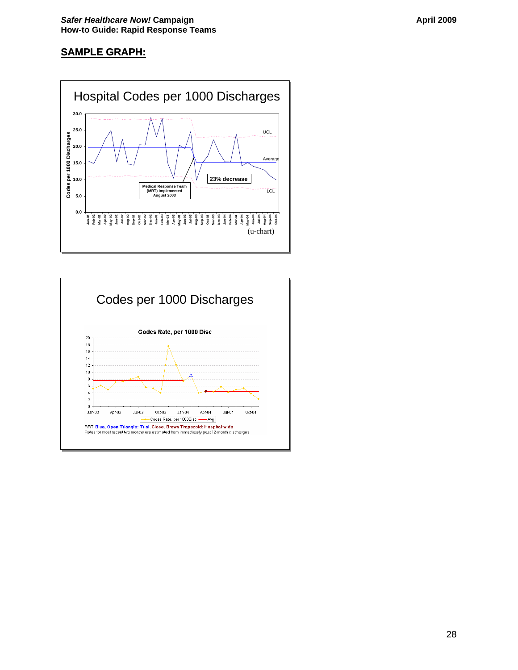# **SAMPLE GRAPH:**



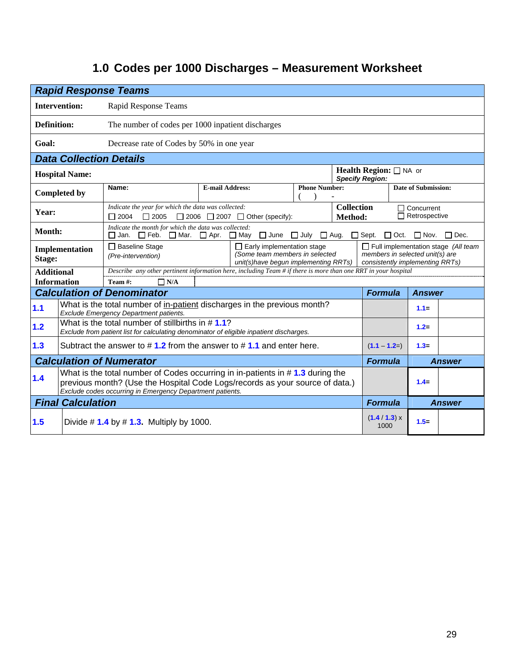# **1.0 Codes per 1000 Discharges – Measurement Worksheet**

| <b>Rapid Response Teams</b>                                                                                                                                                                                                                  |                                |                                                                                                                                                                      |                                                                                                                |                                       |                      |                                                                                                                  |                                                              |                                           |               |  |
|----------------------------------------------------------------------------------------------------------------------------------------------------------------------------------------------------------------------------------------------|--------------------------------|----------------------------------------------------------------------------------------------------------------------------------------------------------------------|----------------------------------------------------------------------------------------------------------------|---------------------------------------|----------------------|------------------------------------------------------------------------------------------------------------------|--------------------------------------------------------------|-------------------------------------------|---------------|--|
|                                                                                                                                                                                                                                              | <b>Intervention:</b>           | Rapid Response Teams                                                                                                                                                 |                                                                                                                |                                       |                      |                                                                                                                  |                                                              |                                           |               |  |
| <b>Definition:</b>                                                                                                                                                                                                                           |                                | The number of codes per 1000 inpatient discharges                                                                                                                    |                                                                                                                |                                       |                      |                                                                                                                  |                                                              |                                           |               |  |
| Goal:                                                                                                                                                                                                                                        |                                | Decrease rate of Codes by 50% in one year                                                                                                                            |                                                                                                                |                                       |                      |                                                                                                                  |                                                              |                                           |               |  |
|                                                                                                                                                                                                                                              | <b>Data Collection Details</b> |                                                                                                                                                                      |                                                                                                                |                                       |                      |                                                                                                                  |                                                              |                                           |               |  |
|                                                                                                                                                                                                                                              | <b>Hospital Name:</b>          |                                                                                                                                                                      |                                                                                                                |                                       |                      |                                                                                                                  | <b>Health Region:</b> $\Box$ NA or<br><b>Specify Region:</b> |                                           |               |  |
|                                                                                                                                                                                                                                              | <b>Completed by</b>            | Name:                                                                                                                                                                | <b>E-mail Address:</b>                                                                                         |                                       | <b>Phone Number:</b> |                                                                                                                  |                                                              | <b>Date of Submission:</b>                |               |  |
| Year:                                                                                                                                                                                                                                        |                                | Indicate the year for which the data was collected:<br><b>Collection</b><br>$\Box$ 2004<br>$\Box$ 2006 $\Box$ 2007 $\Box$ Other (specify):<br>$\Box$ 2005<br>Method: |                                                                                                                |                                       |                      |                                                                                                                  |                                                              | $\Box$ Concurrent<br>$\Box$ Retrospective |               |  |
| Month:                                                                                                                                                                                                                                       |                                | Indicate the month for which the data was collected:<br>□ Jan. □ Feb. □ Mar. □ Apr.                                                                                  |                                                                                                                | $\Box$ June $\Box$ July<br>$\Box$ May |                      | $\Box$ Aug. $\Box$ Sept.                                                                                         | $\Box$ Oct.                                                  | $\Box$ Nov.                               | $\Box$ Dec.   |  |
| Implementation<br>Stage:                                                                                                                                                                                                                     |                                | □ Baseline Stage<br>$\Box$ Early implementation stage<br>(Some team members in selected<br>(Pre-intervention)<br>unit(s) have begun implementing RRTs)               |                                                                                                                |                                       |                      | $\Box$ Full implementation stage (All team<br>members in selected unit(s) are<br>consistently implementing RRTs) |                                                              |                                           |               |  |
| <b>Additional</b>                                                                                                                                                                                                                            |                                |                                                                                                                                                                      | Describe any other pertinent information here, including Team # if there is more than one RRT in your hospital |                                       |                      |                                                                                                                  |                                                              |                                           |               |  |
| <b>Information</b>                                                                                                                                                                                                                           |                                | Team #:<br>$\Box$ N/A                                                                                                                                                |                                                                                                                |                                       |                      |                                                                                                                  |                                                              |                                           |               |  |
|                                                                                                                                                                                                                                              |                                | <b>Calculation of Denominator</b>                                                                                                                                    |                                                                                                                |                                       |                      |                                                                                                                  | <b>Formula</b>                                               | <b>Answer</b>                             |               |  |
| 1.1                                                                                                                                                                                                                                          |                                | What is the total number of in-patient discharges in the previous month?<br>Exclude Emergency Department patients.                                                   |                                                                                                                |                                       |                      |                                                                                                                  |                                                              | $1.1 =$                                   |               |  |
| 1.2                                                                                                                                                                                                                                          |                                | What is the total number of stillbirths in $# 1.1?$<br>Exclude from patient list for calculating denominator of eligible inpatient discharges.                       |                                                                                                                |                                       |                      |                                                                                                                  |                                                              | $1.2 =$                                   |               |  |
| 1.3                                                                                                                                                                                                                                          |                                | Subtract the answer to $\# 1.2$ from the answer to $\# 1.1$ and enter here.                                                                                          |                                                                                                                |                                       |                      |                                                                                                                  | $(1.1 - 1.2=)$                                               | $1.3 -$                                   |               |  |
|                                                                                                                                                                                                                                              |                                | <b>Calculation of Numerator</b>                                                                                                                                      |                                                                                                                |                                       |                      |                                                                                                                  | <b>Formula</b>                                               |                                           | <b>Answer</b> |  |
| What is the total number of Codes occurring in in-patients in #1.3 during the<br>1.4<br>$1.4 =$<br>previous month? (Use the Hospital Code Logs/records as your source of data.)<br>Exclude codes occurring in Emergency Department patients. |                                |                                                                                                                                                                      |                                                                                                                |                                       |                      |                                                                                                                  |                                                              |                                           |               |  |
|                                                                                                                                                                                                                                              | <b>Final Calculation</b>       |                                                                                                                                                                      |                                                                                                                |                                       |                      |                                                                                                                  | <b>Formula</b>                                               |                                           | <b>Answer</b> |  |
| 1.5                                                                                                                                                                                                                                          |                                | Divide # $1.4$ by # $1.3$ . Multiply by 1000.                                                                                                                        |                                                                                                                |                                       |                      |                                                                                                                  | (1.4 / 1.3) x<br>1000                                        | $1.5 =$                                   |               |  |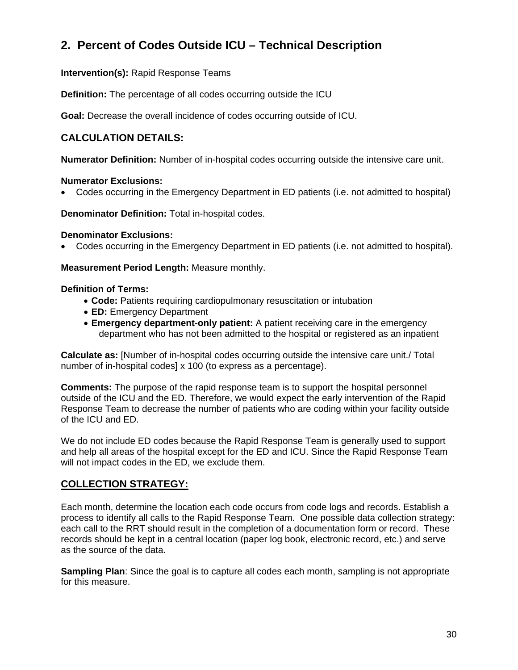# **2. Percent of Codes Outside ICU – Technical Description**

**Intervention(s):** Rapid Response Teams

**Definition:** The percentage of all codes occurring outside the ICU

**Goal:** Decrease the overall incidence of codes occurring outside of ICU.

# **CALCULATION DETAILS:**

**Numerator Definition:** Number of in-hospital codes occurring outside the intensive care unit.

#### **Numerator Exclusions:**

• Codes occurring in the Emergency Department in ED patients (i.e. not admitted to hospital)

**Denominator Definition:** Total in-hospital codes.

#### **Denominator Exclusions:**

• Codes occurring in the Emergency Department in ED patients (i.e. not admitted to hospital).

**Measurement Period Length:** Measure monthly.

#### **Definition of Terms:**

- **Code:** Patients requiring cardiopulmonary resuscitation or intubation
- **ED:** Emergency Department
- **Emergency department-only patient:** A patient receiving care in the emergency department who has not been admitted to the hospital or registered as an inpatient

**Calculate as:** [Number of in-hospital codes occurring outside the intensive care unit./ Total number of in-hospital codes] x 100 (to express as a percentage).

**Comments:** The purpose of the rapid response team is to support the hospital personnel outside of the ICU and the ED. Therefore, we would expect the early intervention of the Rapid Response Team to decrease the number of patients who are coding within your facility outside of the ICU and ED.

We do not include ED codes because the Rapid Response Team is generally used to support and help all areas of the hospital except for the ED and ICU. Since the Rapid Response Team will not impact codes in the ED, we exclude them.

## **COLLECTION STRATEGY:**

Each month, determine the location each code occurs from code logs and records. Establish a process to identify all calls to the Rapid Response Team. One possible data collection strategy: each call to the RRT should result in the completion of a documentation form or record. These records should be kept in a central location (paper log book, electronic record, etc.) and serve as the source of the data.

**Sampling Plan**: Since the goal is to capture all codes each month, sampling is not appropriate for this measure.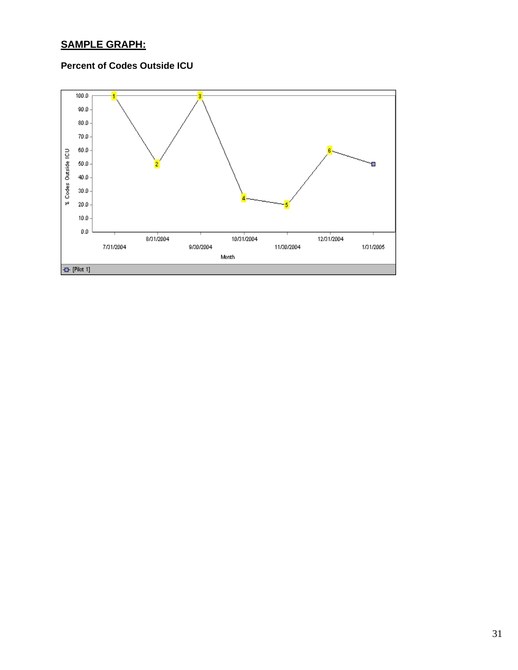# **SAMPLE GRAPH:**

# **Percent of Codes Outside ICU**

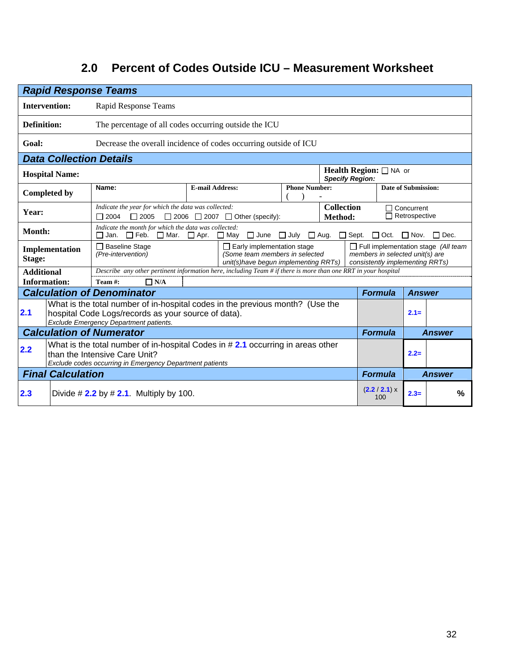# **2.0 Percent of Codes Outside ICU – Measurement Worksheet**

| <b>Rapid Response Teams</b> |                                                                                                                                                                                                                          |                                                                                                                                                                                |                        |  |                      |                        |                                                                                                                  |                            |               |  |
|-----------------------------|--------------------------------------------------------------------------------------------------------------------------------------------------------------------------------------------------------------------------|--------------------------------------------------------------------------------------------------------------------------------------------------------------------------------|------------------------|--|----------------------|------------------------|------------------------------------------------------------------------------------------------------------------|----------------------------|---------------|--|
|                             | <b>Intervention:</b>                                                                                                                                                                                                     | Rapid Response Teams                                                                                                                                                           |                        |  |                      |                        |                                                                                                                  |                            |               |  |
| Definition:                 |                                                                                                                                                                                                                          | The percentage of all codes occurring outside the ICU                                                                                                                          |                        |  |                      |                        |                                                                                                                  |                            |               |  |
| Goal:                       |                                                                                                                                                                                                                          | Decrease the overall incidence of codes occurring outside of ICU                                                                                                               |                        |  |                      |                        |                                                                                                                  |                            |               |  |
|                             | <b>Data Collection Details</b>                                                                                                                                                                                           |                                                                                                                                                                                |                        |  |                      |                        |                                                                                                                  |                            |               |  |
|                             | <b>Hospital Name:</b>                                                                                                                                                                                                    |                                                                                                                                                                                |                        |  |                      | <b>Specify Region:</b> | <b>Health Region:</b> $\Box$ NA or                                                                               |                            |               |  |
|                             | <b>Completed by</b>                                                                                                                                                                                                      | Name:                                                                                                                                                                          | <b>E-mail Address:</b> |  | <b>Phone Number:</b> |                        |                                                                                                                  | <b>Date of Submission:</b> |               |  |
| Year:                       | <b>Collection</b><br>Indicate the year for which the data was collected:<br>$\Box$ 2004<br>$\Box$ 2005<br>$\Box$ 2006 $\Box$ 2007 $\Box$ Other (specify):<br>Method:                                                     |                                                                                                                                                                                |                        |  |                      |                        | $\Box$ Concurrent<br>$\Box$ Retrospective                                                                        |                            |               |  |
|                             | Indicate the month for which the data was collected:<br>Month:<br>□ Jan. □ Feb. □ Mar. □ Apr.<br>$\square$ May<br>$\Box$ June<br>$\Box$ July<br>$\Box$ Aug.<br>$\Box$ Sept.<br>$\Box$ Dec.<br>$\Box$ Oct.<br>$\Box$ Nov. |                                                                                                                                                                                |                        |  |                      |                        |                                                                                                                  |                            |               |  |
| Stage:                      | Implementation                                                                                                                                                                                                           | $\Box$ Baseline Stage<br>$\Box$ Early implementation stage<br>(Some team members in selected<br>(Pre-intervention)<br>unit(s)have begun implementing RRTs)                     |                        |  |                      |                        | $\Box$ Full implementation stage (All team<br>members in selected unit(s) are<br>consistently implementing RRTs) |                            |               |  |
| <b>Additional</b>           |                                                                                                                                                                                                                          | Describe any other pertinent information here, including Team # if there is more than one RRT in your hospital                                                                 |                        |  |                      |                        |                                                                                                                  |                            |               |  |
| <b>Information:</b>         |                                                                                                                                                                                                                          | Team #:<br>$\Box$ N/A                                                                                                                                                          |                        |  |                      |                        |                                                                                                                  |                            |               |  |
|                             |                                                                                                                                                                                                                          | <b>Calculation of Denominator</b>                                                                                                                                              |                        |  |                      |                        | <b>Formula</b>                                                                                                   | <b>Answer</b>              |               |  |
| 2.1                         |                                                                                                                                                                                                                          | What is the total number of in-hospital codes in the previous month? (Use the<br>hospital Code Logs/records as your source of data).<br>Exclude Emergency Department patients. |                        |  |                      |                        |                                                                                                                  | $2.1 =$                    |               |  |
|                             |                                                                                                                                                                                                                          | <b>Calculation of Numerator</b>                                                                                                                                                |                        |  |                      |                        | <b>Formula</b>                                                                                                   |                            | <b>Answer</b> |  |
| 2.2                         | What is the total number of in-hospital Codes in $#2.1$ occurring in areas other<br>than the Intensive Care Unit?<br>$2.2=$<br>Exclude codes occurring in Emergency Department patients                                  |                                                                                                                                                                                |                        |  |                      |                        |                                                                                                                  |                            |               |  |
|                             | <b>Final Calculation</b>                                                                                                                                                                                                 |                                                                                                                                                                                |                        |  |                      |                        | <b>Formula</b>                                                                                                   |                            | <b>Answer</b> |  |
| 2.3                         |                                                                                                                                                                                                                          | Divide # $2.2$ by # 2.1. Multiply by 100.                                                                                                                                      |                        |  |                      |                        | (2.2 / 2.1) x<br>100                                                                                             | $2.3=$                     | $\%$          |  |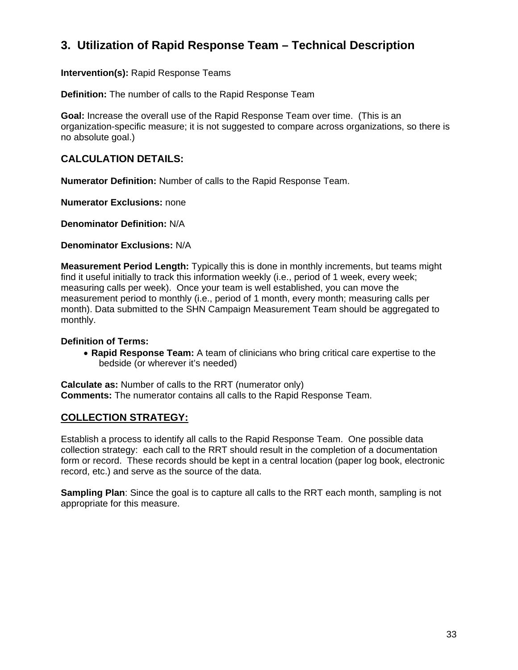# **3. Utilization of Rapid Response Team – Technical Description**

**Intervention(s):** Rapid Response Teams

**Definition:** The number of calls to the Rapid Response Team

**Goal:** Increase the overall use of the Rapid Response Team over time. (This is an organization-specific measure; it is not suggested to compare across organizations, so there is no absolute goal.)

#### **CALCULATION DETAILS:**

**Numerator Definition:** Number of calls to the Rapid Response Team.

**Numerator Exclusions:** none

**Denominator Definition:** N/A

**Denominator Exclusions:** N/A

**Measurement Period Length:** Typically this is done in monthly increments, but teams might find it useful initially to track this information weekly (i.e., period of 1 week, every week; measuring calls per week). Once your team is well established, you can move the measurement period to monthly (i.e., period of 1 month, every month; measuring calls per month). Data submitted to the SHN Campaign Measurement Team should be aggregated to monthly.

#### **Definition of Terms:**

• **Rapid Response Team:** A team of clinicians who bring critical care expertise to the bedside (or wherever it's needed)

**Calculate as:** Number of calls to the RRT (numerator only) **Comments:** The numerator contains all calls to the Rapid Response Team.

## **COLLECTION STRATEGY:**

Establish a process to identify all calls to the Rapid Response Team. One possible data collection strategy: each call to the RRT should result in the completion of a documentation form or record. These records should be kept in a central location (paper log book, electronic record, etc.) and serve as the source of the data.

**Sampling Plan**: Since the goal is to capture all calls to the RRT each month, sampling is not appropriate for this measure.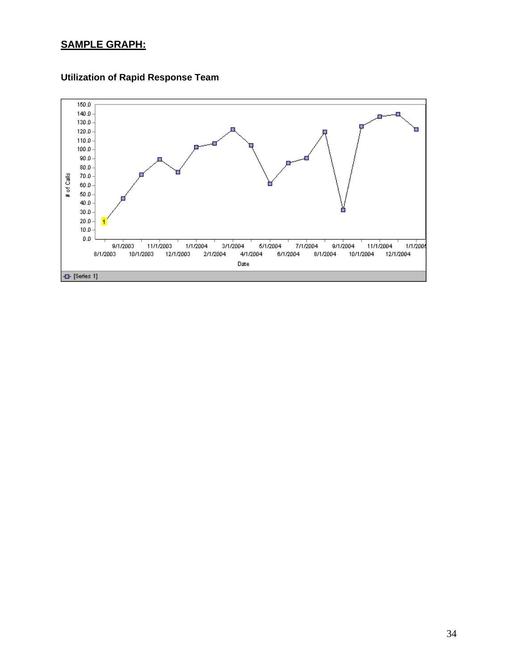# **SAMPLE GRAPH:**



# **Utilization of Rapid Response Team**

 $\blacksquare$